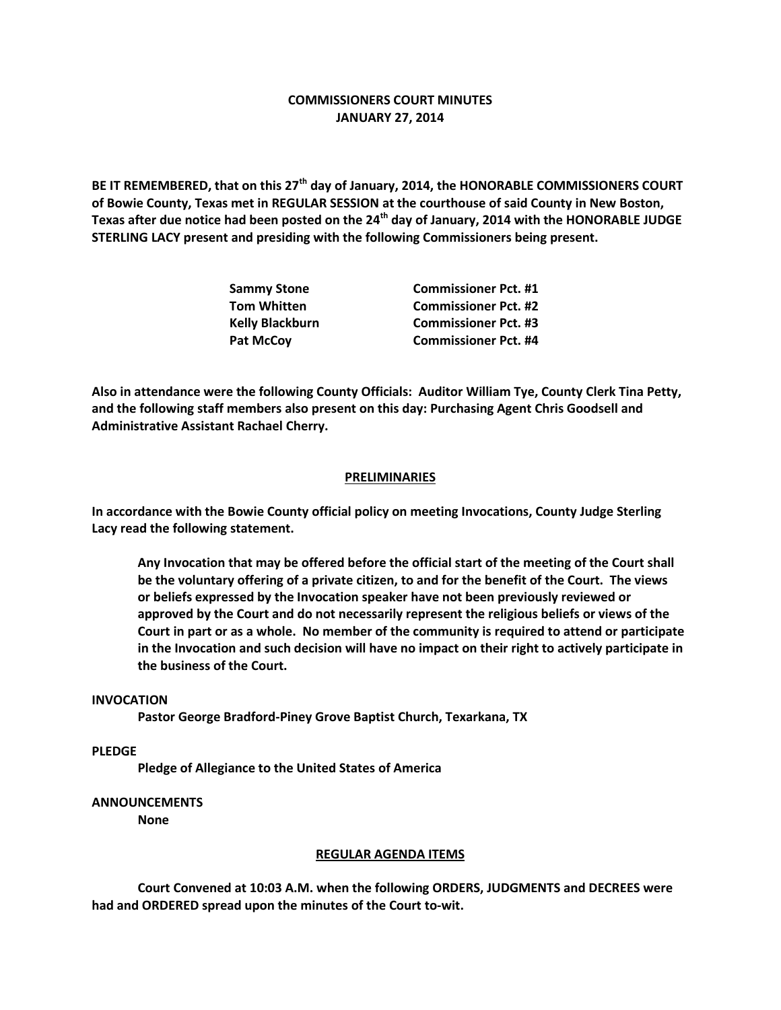# **COMMISSIONERS COURT MINUTES JANUARY 27, 2014**

**BE IT REMEMBERED, that on this 27th day of January, 2014, the HONORABLE COMMISSIONERS COURT of Bowie County, Texas met in REGULAR SESSION at the courthouse of said County in New Boston, Texas after due notice had been posted on the 24th day of January, 2014 with the HONORABLE JUDGE STERLING LACY present and presiding with the following Commissioners being present.**

| <b>Sammy Stone</b>     | <b>Commissioner Pct. #1</b> |
|------------------------|-----------------------------|
| <b>Tom Whitten</b>     | <b>Commissioner Pct. #2</b> |
| <b>Kelly Blackburn</b> | <b>Commissioner Pct. #3</b> |
| Pat McCoy              | <b>Commissioner Pct. #4</b> |

**Also in attendance were the following County Officials: Auditor William Tye, County Clerk Tina Petty, and the following staff members also present on this day: Purchasing Agent Chris Goodsell and Administrative Assistant Rachael Cherry.**

## **PRELIMINARIES**

**In accordance with the Bowie County official policy on meeting Invocations, County Judge Sterling Lacy read the following statement.**

**Any Invocation that may be offered before the official start of the meeting of the Court shall be the voluntary offering of a private citizen, to and for the benefit of the Court. The views or beliefs expressed by the Invocation speaker have not been previously reviewed or approved by the Court and do not necessarily represent the religious beliefs or views of the Court in part or as a whole. No member of the community is required to attend or participate in the Invocation and such decision will have no impact on their right to actively participate in the business of the Court.**

#### **INVOCATION**

**Pastor George Bradford-Piney Grove Baptist Church, Texarkana, TX**

**PLEDGE**

**Pledge of Allegiance to the United States of America**

### **ANNOUNCEMENTS**

**None**

#### **REGULAR AGENDA ITEMS**

**Court Convened at 10:03 A.M. when the following ORDERS, JUDGMENTS and DECREES were had and ORDERED spread upon the minutes of the Court to-wit.**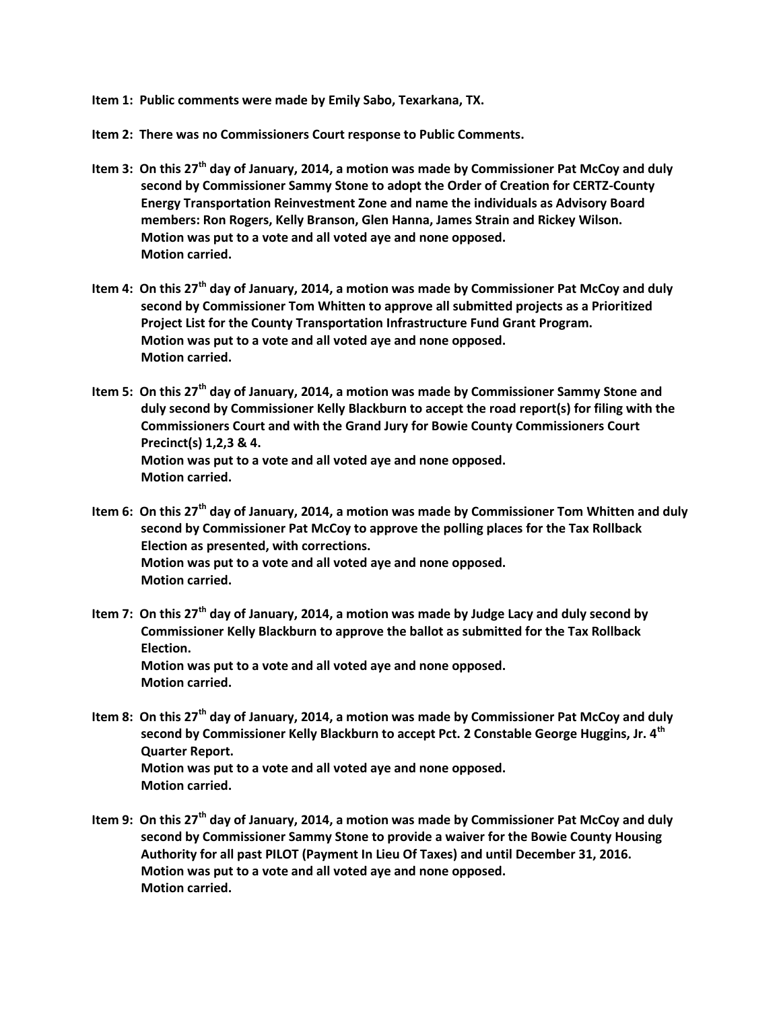**Item 1: Public comments were made by Emily Sabo, Texarkana, TX.**

**Item 2: There was no Commissioners Court response to Public Comments.**

- **Item 3: On this 27th day of January, 2014, a motion was made by Commissioner Pat McCoy and duly second by Commissioner Sammy Stone to adopt the Order of Creation for CERTZ-County Energy Transportation Reinvestment Zone and name the individuals as Advisory Board members: Ron Rogers, Kelly Branson, Glen Hanna, James Strain and Rickey Wilson. Motion was put to a vote and all voted aye and none opposed. Motion carried.**
- **Item 4: On this 27th day of January, 2014, a motion was made by Commissioner Pat McCoy and duly second by Commissioner Tom Whitten to approve all submitted projects as a Prioritized Project List for the County Transportation Infrastructure Fund Grant Program. Motion was put to a vote and all voted aye and none opposed. Motion carried.**
- **Item 5: On this 27th day of January, 2014, a motion was made by Commissioner Sammy Stone and duly second by Commissioner Kelly Blackburn to accept the road report(s) for filing with the Commissioners Court and with the Grand Jury for Bowie County Commissioners Court Precinct(s) 1,2,3 & 4. Motion was put to a vote and all voted aye and none opposed. Motion carried.**
- **Item 6: On this 27th day of January, 2014, a motion was made by Commissioner Tom Whitten and duly second by Commissioner Pat McCoy to approve the polling places for the Tax Rollback Election as presented, with corrections. Motion was put to a vote and all voted aye and none opposed. Motion carried.**
- **Item 7: On this 27th day of January, 2014, a motion was made by Judge Lacy and duly second by Commissioner Kelly Blackburn to approve the ballot as submitted for the Tax Rollback Election. Motion was put to a vote and all voted aye and none opposed. Motion carried.**
- **Item 8: On this 27th day of January, 2014, a motion was made by Commissioner Pat McCoy and duly second by Commissioner Kelly Blackburn to accept Pct. 2 Constable George Huggins, Jr. 4th Quarter Report. Motion was put to a vote and all voted aye and none opposed. Motion carried.**
- **Item 9: On this 27th day of January, 2014, a motion was made by Commissioner Pat McCoy and duly second by Commissioner Sammy Stone to provide a waiver for the Bowie County Housing Authority for all past PILOT (Payment In Lieu Of Taxes) and until December 31, 2016. Motion was put to a vote and all voted aye and none opposed. Motion carried.**